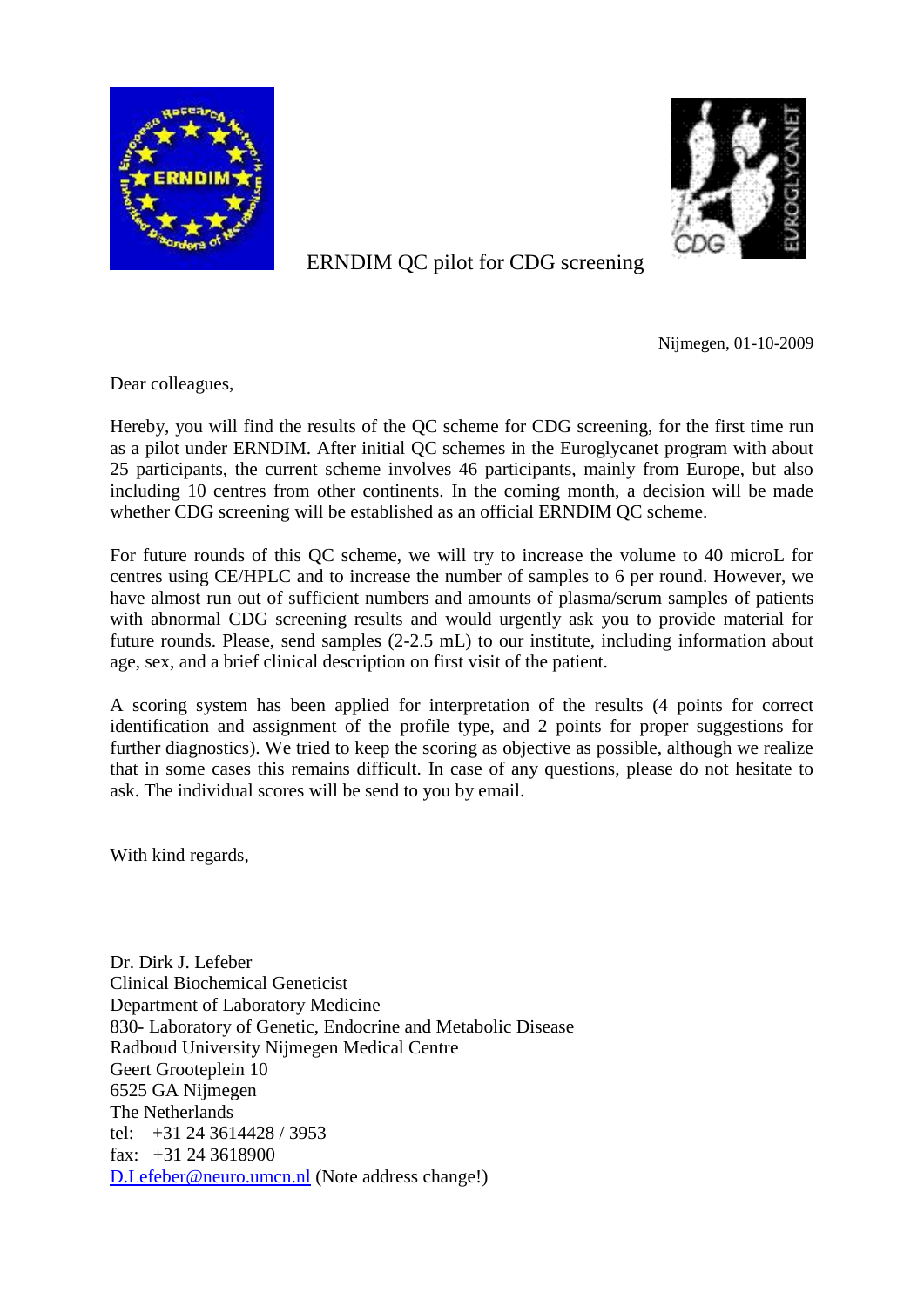



ERNDIM QC pilot for CDG screening

Nijmegen, 01-10-2009

Dear colleagues,

Hereby, you will find the results of the QC scheme for CDG screening, for the first time run as a pilot under ERNDIM. After initial QC schemes in the Euroglycanet program with about 25 participants, the current scheme involves 46 participants, mainly from Europe, but also including 10 centres from other continents. In the coming month, a decision will be made whether CDG screening will be established as an official ERNDIM QC scheme.

For future rounds of this QC scheme, we will try to increase the volume to 40 microL for centres using CE/HPLC and to increase the number of samples to 6 per round. However, we have almost run out of sufficient numbers and amounts of plasma/serum samples of patients with abnormal CDG screening results and would urgently ask you to provide material for future rounds. Please, send samples (2-2.5 mL) to our institute, including information about age, sex, and a brief clinical description on first visit of the patient.

A scoring system has been applied for interpretation of the results (4 points for correct identification and assignment of the profile type, and 2 points for proper suggestions for further diagnostics). We tried to keep the scoring as objective as possible, although we realize that in some cases this remains difficult. In case of any questions, please do not hesitate to ask. The individual scores will be send to you by email.

With kind regards,

Dr. Dirk J. Lefeber Clinical Biochemical Geneticist Department of Laboratory Medicine 830- Laboratory of Genetic, Endocrine and Metabolic Disease Radboud University Nijmegen Medical Centre Geert Grooteplein 10 6525 GA Nijmegen The Netherlands tel: +31 24 3614428 / 3953 fax:  $+31$  24 3618900 [D.Lefeber@neuro.umcn.nl](mailto:D.Lefeber@neuro.umcn.nl) (Note address change!)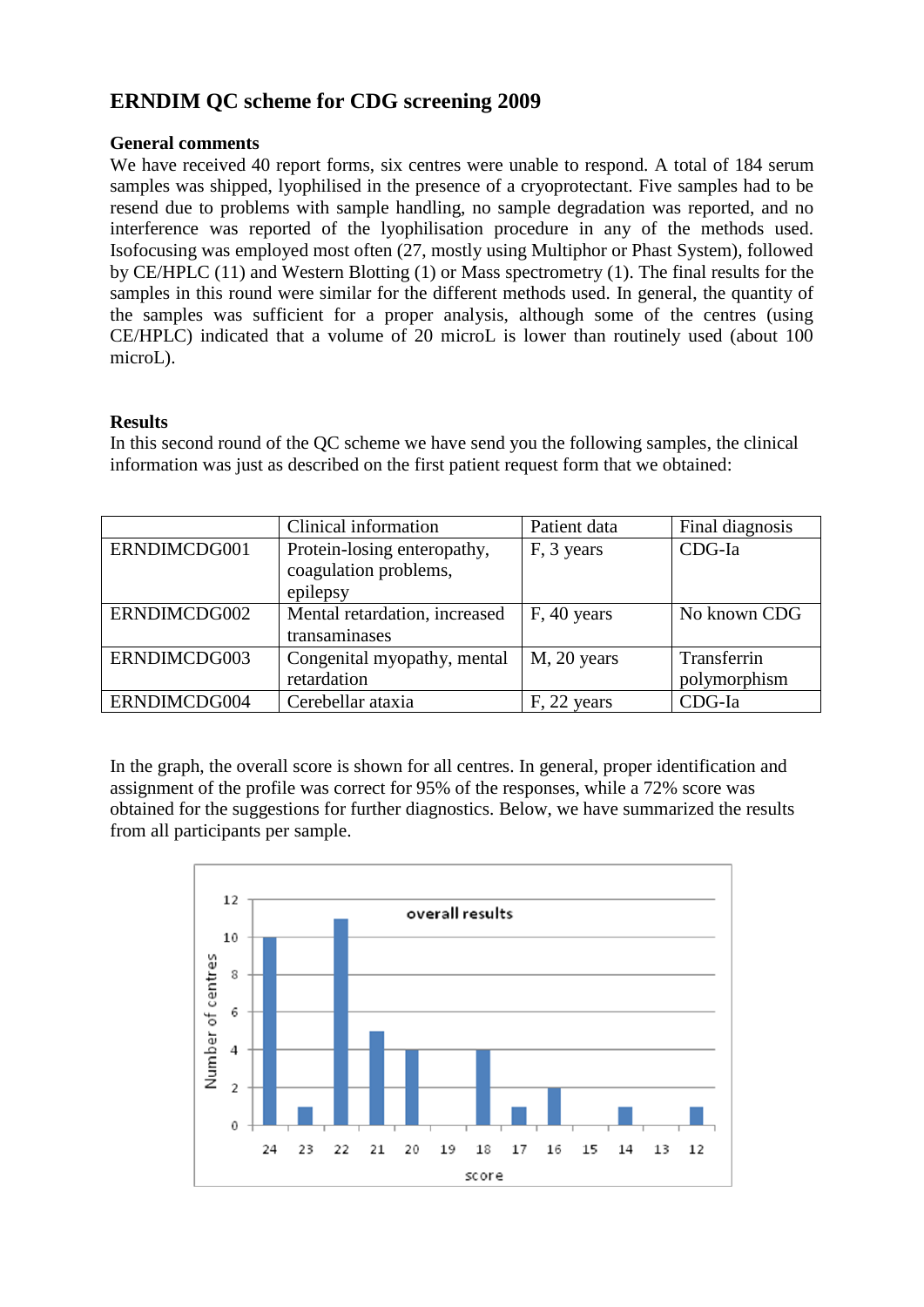# **ERNDIM QC scheme for CDG screening 2009**

### **General comments**

We have received 40 report forms, six centres were unable to respond. A total of 184 serum samples was shipped, lyophilised in the presence of a cryoprotectant. Five samples had to be resend due to problems with sample handling, no sample degradation was reported, and no interference was reported of the lyophilisation procedure in any of the methods used. Isofocusing was employed most often (27, mostly using Multiphor or Phast System), followed by CE/HPLC (11) and Western Blotting (1) or Mass spectrometry (1). The final results for the samples in this round were similar for the different methods used. In general, the quantity of the samples was sufficient for a proper analysis, although some of the centres (using CE/HPLC) indicated that a volume of 20 microL is lower than routinely used (about 100 microL).

## **Results**

In this second round of the QC scheme we have send you the following samples, the clinical information was just as described on the first patient request form that we obtained:

|              | Clinical information          | Patient data | Final diagnosis |
|--------------|-------------------------------|--------------|-----------------|
| ERNDIMCDG001 | Protein-losing enteropathy,   | F, 3 years   | CDG-Ia          |
|              | coagulation problems,         |              |                 |
|              | epilepsy                      |              |                 |
| ERNDIMCDG002 | Mental retardation, increased | F, 40 years  | No known CDG    |
|              | transaminases                 |              |                 |
| ERNDIMCDG003 | Congenital myopathy, mental   | M, 20 years  | Transferrin     |
|              | retardation                   |              | polymorphism    |
| ERNDIMCDG004 | Cerebellar ataxia             | F, 22 years  | CDG-Ia          |

In the graph, the overall score is shown for all centres. In general, proper identification and assignment of the profile was correct for 95% of the responses, while a 72% score was obtained for the suggestions for further diagnostics. Below, we have summarized the results from all participants per sample.